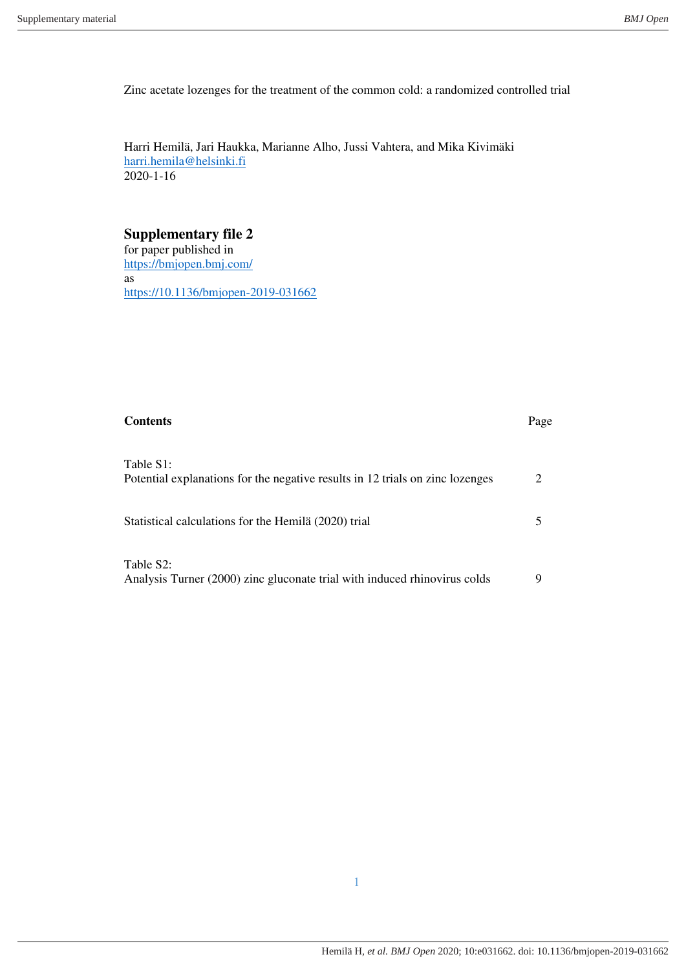Zinc acetate lozenges for the treatment of the common cold: a randomized controlled trial

Harri Hemilä, Jari Haukka, Marianne Alho, Jussi Vahtera, and Mika Kivimäki [harri.hemila@helsinki.fi](mailto:harri.hemila@helsinki.fi)  2020-1-16

# **Supplementary file 2**

for paper published in <https://bmjopen.bmj.com/> as [https://10.1136/bmjopen-2019-031662](https://10.0.4.112/bmjopen-2019-031662) 

| <b>Contents</b>                                                                            | Page |
|--------------------------------------------------------------------------------------------|------|
| Table S1:<br>Potential explanations for the negative results in 12 trials on zinc lozenges |      |
| Statistical calculations for the Hemilä (2020) trial                                       | 5    |
| Table S2:<br>Analysis Turner (2000) zinc gluconate trial with induced rhinovirus colds     | 9    |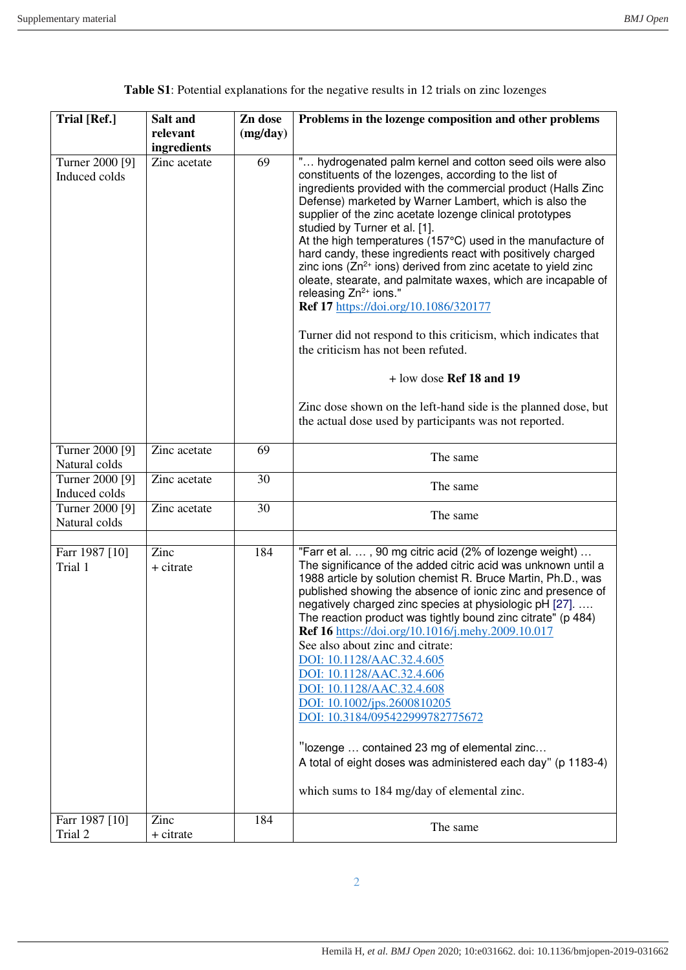| ingredients<br>" hydrogenated palm kernel and cotton seed oils were also<br>Turner 2000 [9]<br>69<br>Zinc acetate<br>constituents of the lozenges, according to the list of<br>Induced colds<br>ingredients provided with the commercial product (Halls Zinc<br>Defense) marketed by Warner Lambert, which is also the<br>supplier of the zinc acetate lozenge clinical prototypes<br>studied by Turner et al. [1].<br>At the high temperatures (157°C) used in the manufacture of<br>hard candy, these ingredients react with positively charged<br>zinc ions ( $Zn^{2+}$ ions) derived from zinc acetate to yield zinc<br>oleate, stearate, and palmitate waxes, which are incapable of<br>releasing $Zn^{2+}$ ions."<br>Ref 17 https://doi.org/10.1086/320177<br>Turner did not respond to this criticism, which indicates that<br>the criticism has not been refuted.<br>$+$ low dose Ref 18 and 19<br>Zinc dose shown on the left-hand side is the planned dose, but<br>the actual dose used by participants was not reported.<br>Turner 2000 [9]<br>Zinc acetate<br>69<br>The same<br>Natural colds<br>30<br>Turner 2000 [9]<br>Zinc acetate<br>The same<br>Induced colds<br>30<br>Turner 2000 [9]<br>Zinc acetate<br>The same<br>Natural colds<br>"Farr et al. , 90 mg citric acid (2% of lozenge weight)<br>184<br>Farr 1987 [10]<br>Zinc<br>The significance of the added citric acid was unknown until a<br>Trial 1<br>+ citrate<br>1988 article by solution chemist R. Bruce Martin, Ph.D., was<br>published showing the absence of ionic zinc and presence of<br>negatively charged zinc species at physiologic pH [27].<br>The reaction product was tightly bound zinc citrate" (p 484)<br><b>Ref 16</b> https://doi.org/10.1016/j.mehy.2009.10.017<br>See also about zinc and citrate:<br>DOI: 10.1128/AAC.32.4.605<br>DOI: 10.1128/AAC.32.4.606<br>DOI: 10.1128/AAC.32.4.608<br>DOI: 10.1002/jps.2600810205<br>DOI: 10.3184/095422999782775672<br>"lozenge  contained 23 mg of elemental zinc<br>A total of eight doses was administered each day" (p 1183-4)<br>which sums to 184 mg/day of elemental zinc.<br>Farr 1987 [10]<br>Zinc<br>184<br>The same | <b>Trial [Ref.]</b> | Salt and<br>relevant | Zn dose<br>(mg/day) | Problems in the lozenge composition and other problems |  |
|--------------------------------------------------------------------------------------------------------------------------------------------------------------------------------------------------------------------------------------------------------------------------------------------------------------------------------------------------------------------------------------------------------------------------------------------------------------------------------------------------------------------------------------------------------------------------------------------------------------------------------------------------------------------------------------------------------------------------------------------------------------------------------------------------------------------------------------------------------------------------------------------------------------------------------------------------------------------------------------------------------------------------------------------------------------------------------------------------------------------------------------------------------------------------------------------------------------------------------------------------------------------------------------------------------------------------------------------------------------------------------------------------------------------------------------------------------------------------------------------------------------------------------------------------------------------------------------------------------------------------------------------------------------------------------------------------------------------------------------------------------------------------------------------------------------------------------------------------------------------------------------------------------------------------------------------------------------------------------------------------------------------------------------------------------------------------------------------------------------------------------------------------------------------------|---------------------|----------------------|---------------------|--------------------------------------------------------|--|
|                                                                                                                                                                                                                                                                                                                                                                                                                                                                                                                                                                                                                                                                                                                                                                                                                                                                                                                                                                                                                                                                                                                                                                                                                                                                                                                                                                                                                                                                                                                                                                                                                                                                                                                                                                                                                                                                                                                                                                                                                                                                                                                                                                          |                     |                      |                     |                                                        |  |
|                                                                                                                                                                                                                                                                                                                                                                                                                                                                                                                                                                                                                                                                                                                                                                                                                                                                                                                                                                                                                                                                                                                                                                                                                                                                                                                                                                                                                                                                                                                                                                                                                                                                                                                                                                                                                                                                                                                                                                                                                                                                                                                                                                          |                     |                      |                     |                                                        |  |
|                                                                                                                                                                                                                                                                                                                                                                                                                                                                                                                                                                                                                                                                                                                                                                                                                                                                                                                                                                                                                                                                                                                                                                                                                                                                                                                                                                                                                                                                                                                                                                                                                                                                                                                                                                                                                                                                                                                                                                                                                                                                                                                                                                          |                     |                      |                     |                                                        |  |
|                                                                                                                                                                                                                                                                                                                                                                                                                                                                                                                                                                                                                                                                                                                                                                                                                                                                                                                                                                                                                                                                                                                                                                                                                                                                                                                                                                                                                                                                                                                                                                                                                                                                                                                                                                                                                                                                                                                                                                                                                                                                                                                                                                          |                     |                      |                     |                                                        |  |
|                                                                                                                                                                                                                                                                                                                                                                                                                                                                                                                                                                                                                                                                                                                                                                                                                                                                                                                                                                                                                                                                                                                                                                                                                                                                                                                                                                                                                                                                                                                                                                                                                                                                                                                                                                                                                                                                                                                                                                                                                                                                                                                                                                          |                     |                      |                     |                                                        |  |
|                                                                                                                                                                                                                                                                                                                                                                                                                                                                                                                                                                                                                                                                                                                                                                                                                                                                                                                                                                                                                                                                                                                                                                                                                                                                                                                                                                                                                                                                                                                                                                                                                                                                                                                                                                                                                                                                                                                                                                                                                                                                                                                                                                          |                     |                      |                     |                                                        |  |
|                                                                                                                                                                                                                                                                                                                                                                                                                                                                                                                                                                                                                                                                                                                                                                                                                                                                                                                                                                                                                                                                                                                                                                                                                                                                                                                                                                                                                                                                                                                                                                                                                                                                                                                                                                                                                                                                                                                                                                                                                                                                                                                                                                          |                     |                      |                     |                                                        |  |
|                                                                                                                                                                                                                                                                                                                                                                                                                                                                                                                                                                                                                                                                                                                                                                                                                                                                                                                                                                                                                                                                                                                                                                                                                                                                                                                                                                                                                                                                                                                                                                                                                                                                                                                                                                                                                                                                                                                                                                                                                                                                                                                                                                          |                     |                      |                     |                                                        |  |
|                                                                                                                                                                                                                                                                                                                                                                                                                                                                                                                                                                                                                                                                                                                                                                                                                                                                                                                                                                                                                                                                                                                                                                                                                                                                                                                                                                                                                                                                                                                                                                                                                                                                                                                                                                                                                                                                                                                                                                                                                                                                                                                                                                          | Trial 2             | + citrate            |                     |                                                        |  |

2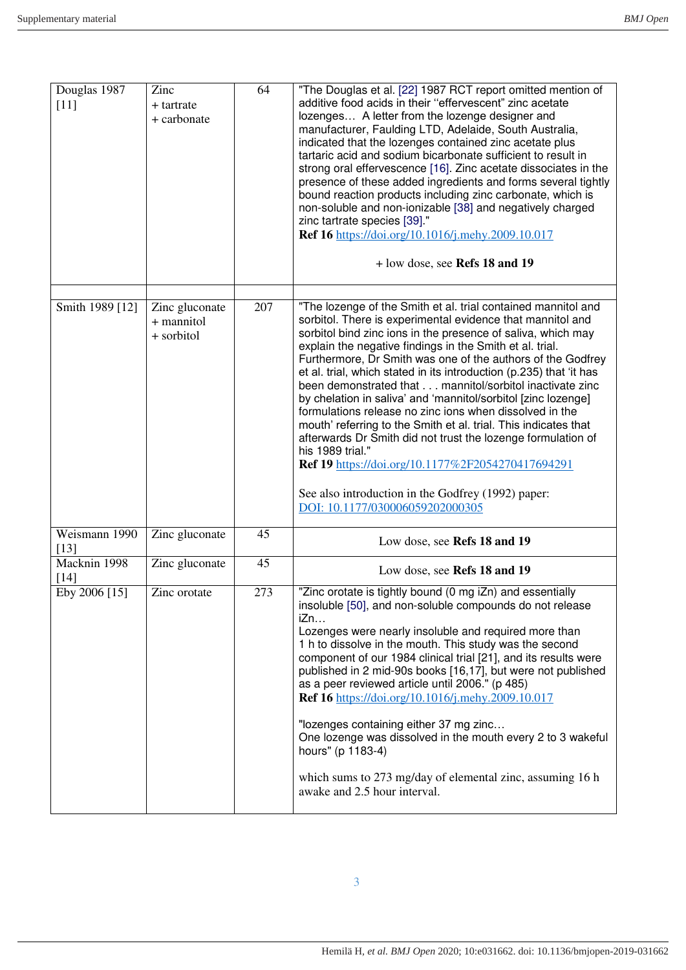| Douglas 1987<br>$[11]$  | Zinc<br>+ tartrate<br>+ carbonate          | 64  | "The Douglas et al. [22] 1987 RCT report omitted mention of<br>additive food acids in their "effervescent" zinc acetate<br>lozenges A letter from the lozenge designer and<br>manufacturer, Faulding LTD, Adelaide, South Australia,<br>indicated that the lozenges contained zinc acetate plus<br>tartaric acid and sodium bicarbonate sufficient to result in<br>strong oral effervescence [16]. Zinc acetate dissociates in the<br>presence of these added ingredients and forms several tightly<br>bound reaction products including zinc carbonate, which is<br>non-soluble and non-ionizable [38] and negatively charged<br>zinc tartrate species [39]."<br>Ref 16 https://doi.org/10.1016/j.mehy.2009.10.017<br>+ low dose, see Refs 18 and 19                                                                                                                                      |
|-------------------------|--------------------------------------------|-----|--------------------------------------------------------------------------------------------------------------------------------------------------------------------------------------------------------------------------------------------------------------------------------------------------------------------------------------------------------------------------------------------------------------------------------------------------------------------------------------------------------------------------------------------------------------------------------------------------------------------------------------------------------------------------------------------------------------------------------------------------------------------------------------------------------------------------------------------------------------------------------------------|
|                         |                                            |     |                                                                                                                                                                                                                                                                                                                                                                                                                                                                                                                                                                                                                                                                                                                                                                                                                                                                                            |
| Smith 1989 [12]         | Zinc gluconate<br>+ mannitol<br>+ sorbitol | 207 | "The lozenge of the Smith et al. trial contained mannitol and<br>sorbitol. There is experimental evidence that mannitol and<br>sorbitol bind zinc ions in the presence of saliva, which may<br>explain the negative findings in the Smith et al. trial.<br>Furthermore, Dr Smith was one of the authors of the Godfrey<br>et al. trial, which stated in its introduction (p.235) that 'it has<br>been demonstrated that mannitol/sorbitol inactivate zinc<br>by chelation in saliva' and 'mannitol/sorbitol [zinc lozenge]<br>formulations release no zinc ions when dissolved in the<br>mouth' referring to the Smith et al. trial. This indicates that<br>afterwards Dr Smith did not trust the lozenge formulation of<br>his 1989 trial."<br>Ref 19 https://doi.org/10.1177%2F2054270417694291<br>See also introduction in the Godfrey (1992) paper:<br>DOI: 10.1177/030006059202000305 |
| Weismann 1990<br>$[13]$ | Zinc gluconate                             | 45  | Low dose, see Refs 18 and 19                                                                                                                                                                                                                                                                                                                                                                                                                                                                                                                                                                                                                                                                                                                                                                                                                                                               |
| Macknin 1998<br>$[14]$  | Zinc gluconate                             | 45  | Low dose, see Refs 18 and 19                                                                                                                                                                                                                                                                                                                                                                                                                                                                                                                                                                                                                                                                                                                                                                                                                                                               |
| Eby 2006 [15]           | Zinc orotate                               | 273 | "Zinc orotate is tightly bound (0 mg iZn) and essentially<br>insoluble [50], and non-soluble compounds do not release<br>iZn<br>Lozenges were nearly insoluble and required more than<br>1 h to dissolve in the mouth. This study was the second<br>component of our 1984 clinical trial [21], and its results were<br>published in 2 mid-90s books [16,17], but were not published<br>as a peer reviewed article until 2006." (p 485)<br>Ref 16 https://doi.org/10.1016/j.mehy.2009.10.017<br>"lozenges containing either 37 mg zinc<br>One lozenge was dissolved in the mouth every 2 to 3 wakeful<br>hours" (p 1183-4)<br>which sums to 273 mg/day of elemental zinc, assuming 16 h<br>awake and 2.5 hour interval.                                                                                                                                                                     |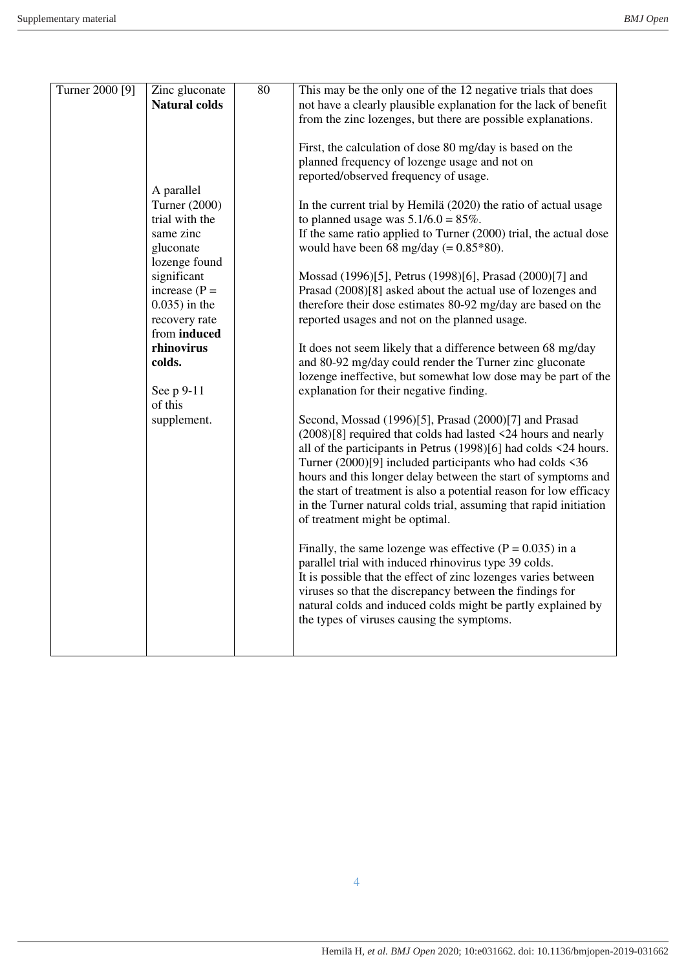| Turner 2000 [9] | Zinc gluconate       | 80 | This may be the only one of the 12 negative trials that does                                                           |
|-----------------|----------------------|----|------------------------------------------------------------------------------------------------------------------------|
|                 | <b>Natural colds</b> |    | not have a clearly plausible explanation for the lack of benefit                                                       |
|                 |                      |    | from the zinc lozenges, but there are possible explanations.                                                           |
|                 |                      |    |                                                                                                                        |
|                 |                      |    | First, the calculation of dose 80 mg/day is based on the                                                               |
|                 |                      |    | planned frequency of lozenge usage and not on                                                                          |
|                 |                      |    | reported/observed frequency of usage.                                                                                  |
|                 | A parallel           |    |                                                                                                                        |
|                 | Turner (2000)        |    | In the current trial by Hemilä (2020) the ratio of actual usage                                                        |
|                 | trial with the       |    | to planned usage was $5.1/6.0 = 85\%$ .                                                                                |
|                 | same zinc            |    | If the same ratio applied to Turner (2000) trial, the actual dose                                                      |
|                 | gluconate            |    | would have been 68 mg/day $(= 0.85*80)$ .                                                                              |
|                 | lozenge found        |    |                                                                                                                        |
|                 | significant          |    | Mossad (1996)[5], Petrus (1998)[6], Prasad (2000)[7] and                                                               |
|                 | increase $(P =$      |    | Prasad (2008)[8] asked about the actual use of lozenges and                                                            |
|                 | $0.035$ ) in the     |    | therefore their dose estimates 80-92 mg/day are based on the                                                           |
|                 | recovery rate        |    | reported usages and not on the planned usage.                                                                          |
|                 | from induced         |    |                                                                                                                        |
|                 | rhinovirus           |    | It does not seem likely that a difference between 68 mg/day                                                            |
|                 | colds.               |    | and 80-92 mg/day could render the Turner zinc gluconate                                                                |
|                 |                      |    | lozenge ineffective, but somewhat low dose may be part of the                                                          |
|                 | See p 9-11           |    | explanation for their negative finding.                                                                                |
|                 | of this              |    |                                                                                                                        |
|                 | supplement.          |    | Second, Mossad (1996)[5], Prasad (2000)[7] and Prasad<br>(2008)[8] required that colds had lasted <24 hours and nearly |
|                 |                      |    | all of the participants in Petrus $(1998)[6]$ had colds <24 hours.                                                     |
|                 |                      |    | Turner $(2000)[9]$ included participants who had colds $\leq 36$                                                       |
|                 |                      |    | hours and this longer delay between the start of symptoms and                                                          |
|                 |                      |    | the start of treatment is also a potential reason for low efficacy                                                     |
|                 |                      |    | in the Turner natural colds trial, assuming that rapid initiation                                                      |
|                 |                      |    | of treatment might be optimal.                                                                                         |
|                 |                      |    |                                                                                                                        |
|                 |                      |    | Finally, the same lozenge was effective $(P = 0.035)$ in a                                                             |
|                 |                      |    | parallel trial with induced rhinovirus type 39 colds.                                                                  |
|                 |                      |    | It is possible that the effect of zinc lozenges varies between                                                         |
|                 |                      |    | viruses so that the discrepancy between the findings for                                                               |
|                 |                      |    | natural colds and induced colds might be partly explained by                                                           |
|                 |                      |    | the types of viruses causing the symptoms.                                                                             |
|                 |                      |    |                                                                                                                        |
|                 |                      |    |                                                                                                                        |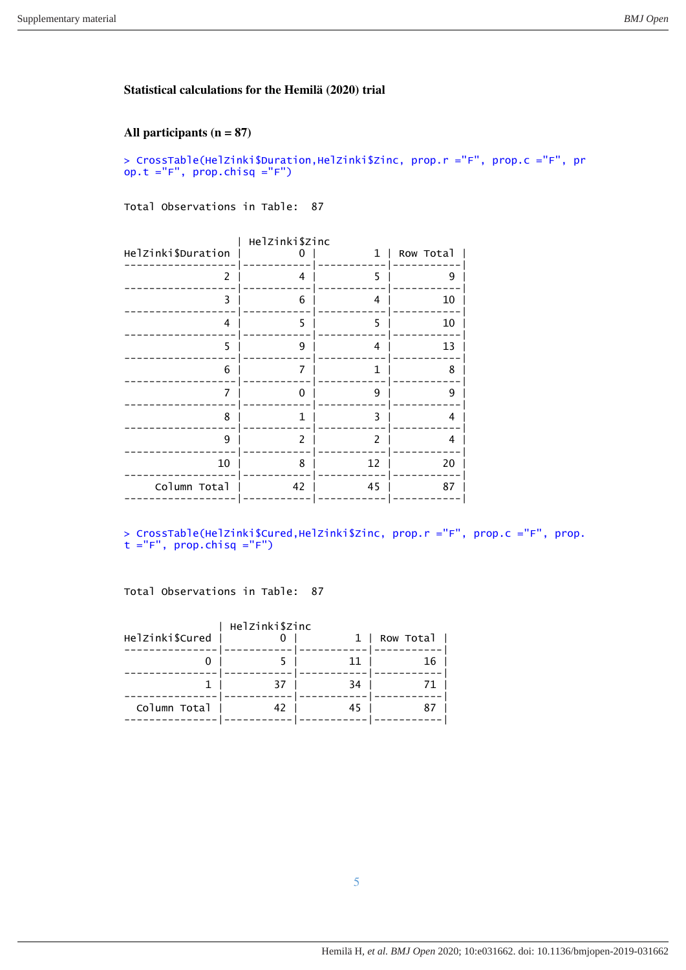#### **Statistical calculations for the Hemilä (2020) trial**

## **All participants (n = 87)**

> CrossTable(HelZinki\$Duration,HelZinki\$Zinc, prop.r ="F", prop.c ="F", pr op.t ="F", prop.chisq ="F")

Total Observations in Table: 87

|                    | Helzinki\$zinc |    |           |
|--------------------|----------------|----|-----------|
| Helzinki\$Duration |                | 1  | Row Total |
| 2                  | 4              | 5  | 9         |
| 3                  | 6              | 4  | 10        |
| 4                  | 5              | 5  | 10        |
| 5                  | 9              | 4  | 13        |
| 6                  | 7              | 1  | 8         |
| 7                  | O              | 9  | 9         |
| 8                  | 1              | 3  | 4         |
| 9                  | 2              | 2  | 4         |
| 10                 | 8              | 12 | 20        |
| Column Total       | 42             | 45 | 87        |
|                    |                |    |           |

> CrossTable(HelZinki\$Cured,HelZinki\$Zinc, prop.r ="F", prop.c ="F", prop. t ="F", prop.chisq ="F")

Total Observations in Table: 87

|    | 11 | 16 |
|----|----|----|
| 37 | 34 | 71 |
| 42 | 45 |    |
|    |    |    |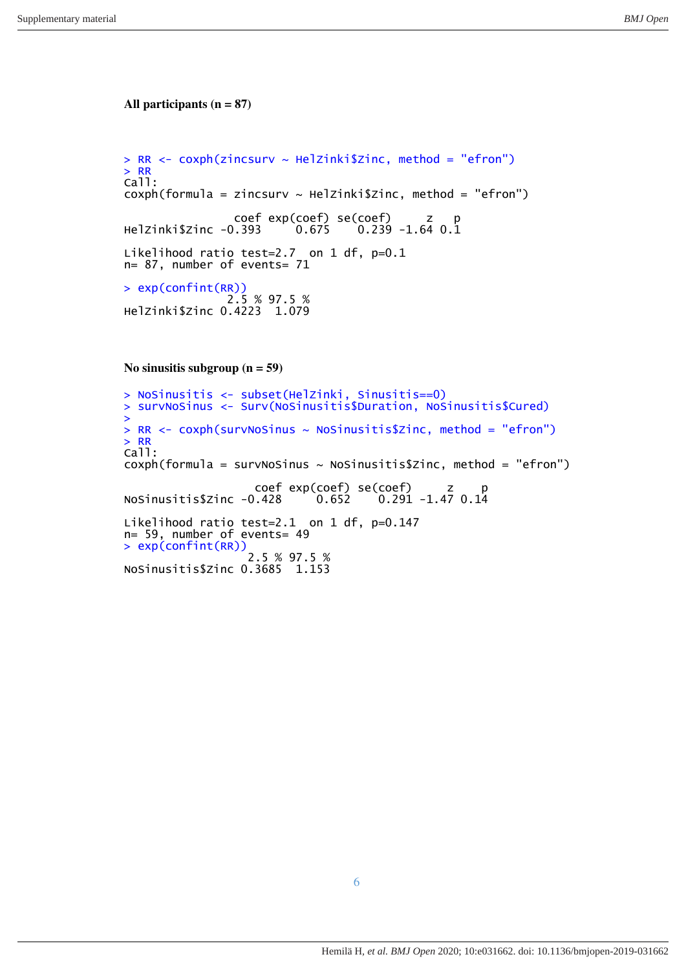#### **All participants (n = 87)**

```
> RR < - \cosh(zincsurv ~ \sim He1zinki$Zinc, method = "efron")
> RR
Call:
cosh(formula = zincsurv ~ HelZinki$Zinc, method = "efron")
 coef exp(coef) se(coef) z p 
HelZinki$Zinc -0.393 0.675 0.239 -1.64 0.1
Likelihood ratio test=2.7 on 1 df, p=0.1
n= 87, number of events= 71 
> exp(confint(RR)) 
 2.5 % 97.5 % 
HelZinki$Zinc 0.4223 1.079
```
**No sinusitis subgroup (n = 59)** 

```
> NoSinusitis <- subset(HelZinki, Sinusitis==0) 
> survNoSinus <- Surv(NoSinusitis$Duration, NoSinusitis$Cured) 
> 
> RR < -coxph(survNosinus ~ NoSinusitis$Zinc, method = "efron")> RR
Call:
cosh(formula = survNoSinus ~ NoSinusitis$Zinc, method = "efron")
                   coef exp(coef) se(coef) z p 
NoSinusitis$Zinc -0.428
Likelihood ratio test=2.1 on 1 df, p=0.147 
n= 59, number of events= 49 
> exp(confint(RR)) 
 2.5 % 97.5 % 
NoSinusitis$Zinc 0.3685 1.153
```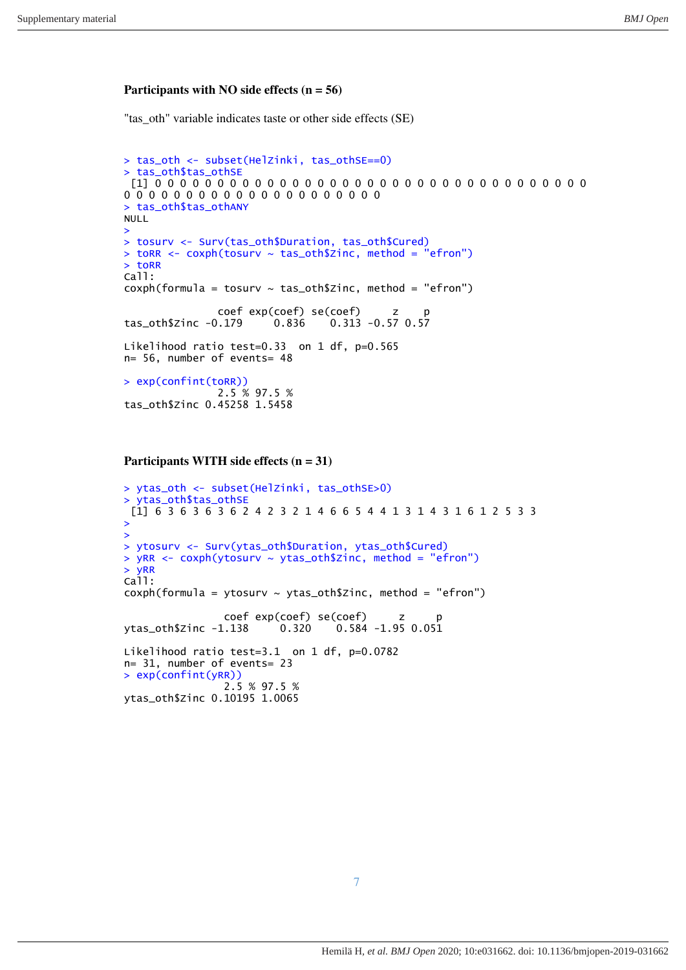#### **Participants with NO side effects (n = 56)**

"tas\_oth" variable indicates taste or other side effects (SE)

```
> tas_oth <- subset(HelZinki, tas_othSE==0) 
> tas_oth$tas_othSE
 [1] 0 0 0 0 0 0 0 0 0 0 0 0 0 0 0 0 0 0 0 0 0 0 0 0 0 0 0 0 0 0 0 0 0 0 0 
0 0 0 0 0 0 0 0 0 0 0 0 0 0 0 0 0 0 0 0 0 
> tas_oth$tas_othANY 
NULL
> 
> tosurv <- Surv(tas_oth$Duration, tas_oth$Cured) 
> toRR <- coxph(tosurv ~ tas_oth$Zinc, method = "efron") 
> toRR
Call:
cosh(formula = tosurv \sim tas_oth$Zinc, method = "efron")
                coef exp(coef) se(coef) z p<br>0.179 0.836 0.313 -0.57 0.57
tas\_oth$Zinc -0.179 0.836Likelihood ratio test=0.33 on 1 df, p=0.565
n= 56, number of events= 48 
> exp(confint(toRR)) 
                 2.5 % 97.5 % 
tas_oth$Zinc 0.45258 1.5458
```
**Participants WITH side effects (n = 31)** 

```
> ytas_oth <- subset(HelZinki, tas_othSE>0) 
> ytas_oth$tas_othSE 
 [1] 6 3 6 3 6 3 6 2 4 2 3 2 1 4 6 6 5 4 4 1 3 1 4 3 1 6 1 2 5 3 3 
> 
> 
> ytosurv <- Surv(ytas_oth$Duration, ytas_oth$Cured) 
> yRR <- coxph(ytosurv ~ ytas_oth$Zinc, method = "efron") 
> yRR
Call:
cosh(formula = ytosurv ~ ytas_oth$Zinc, method = "efron")
                 coef exp(coef) se(coef) z p 
ytas_oth$Zinc -1.138 0.320
Likelihood ratio test=3.1 on 1 df, p=0.0782
n= 31, number of events= 23 
> exp(confint(yRR)) 
                 2.5 % 97.5 % 
ytas_oth$Zinc 0.10195 1.0065
```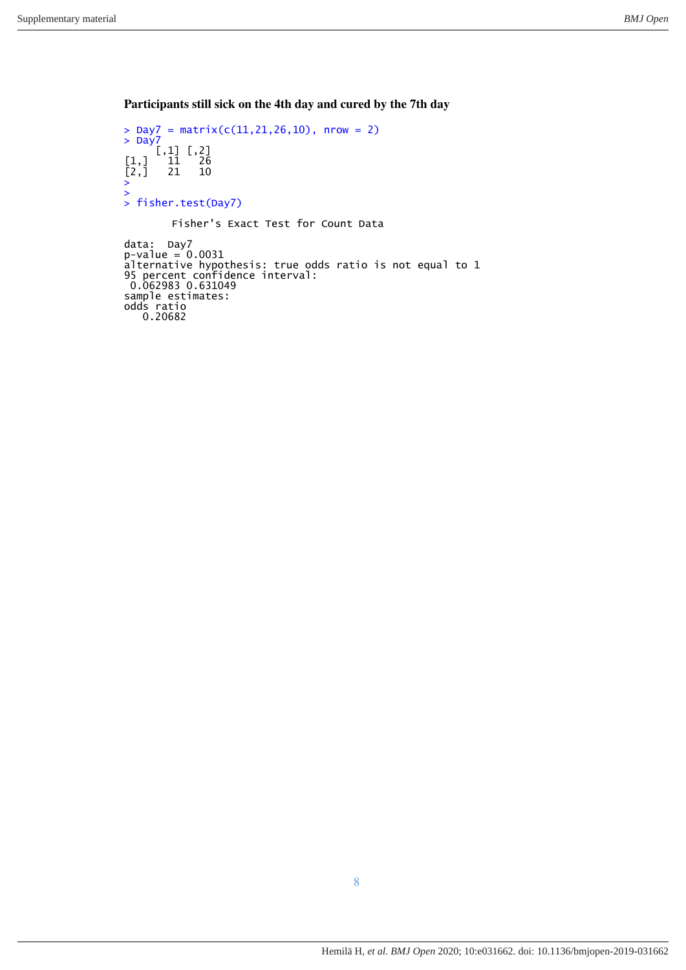**Participants still sick on the 4th day and cured by the 7th day** 

```
> Day7 = matrix(c(11,21,26,10), nrow = 2)
> Day\overline{?} [,1] [,2] 
[1,] 11 26
[2,] 21 10
\begin{array}{c} \left[ \begin{smallmatrix} 1 \\ 2 \end{smallmatrix} \right] \\ \left[ \begin{smallmatrix} 2 \\ \end{smallmatrix} \right] \end{array}> 
  fisher.test(Day7)
            Fisher's Exact Test for Count Data 
data: Day7
p-value = 0.0031alternative hypothesis: true odds ratio is not equal to 1 
95 percent confidence interval: 
 0.062983 0.631049 
sample estimates: 
odds ratio 
  0.20682
```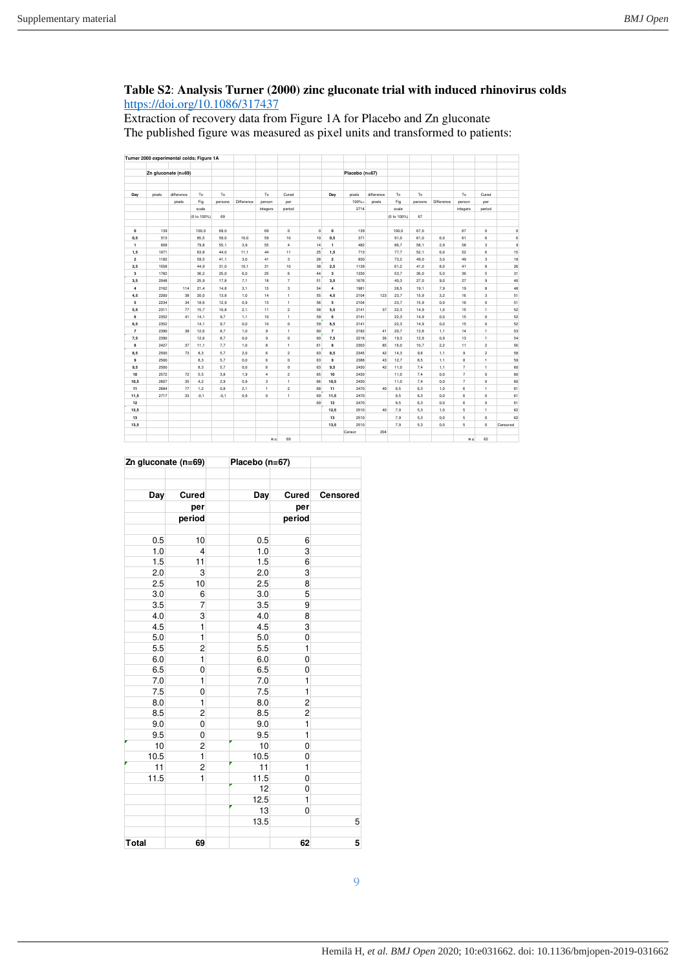# **Table S2**: **Analysis Turner (2000) zinc gluconate trial with induced rhinovirus colds**  <https://doi.org/10.1086/317437>

Extraction of recovery data from Figure 1A for Placebo and Zn gluconate The published figure was measured as pixel units and transformed to patients:

|                  | Turner 2000 experimental colds; Figure 1A |            |             |         |            |                |                         |              |                  |                |            |             |         |            |                |                |            |
|------------------|-------------------------------------------|------------|-------------|---------|------------|----------------|-------------------------|--------------|------------------|----------------|------------|-------------|---------|------------|----------------|----------------|------------|
|                  | Zn gluconate (n=69)                       |            |             |         |            |                |                         |              |                  | Placebo (n=67) |            |             |         |            |                |                |            |
|                  |                                           |            |             |         |            |                |                         |              |                  |                |            |             |         |            |                |                |            |
| Day              | pixels                                    | difference | To          | To      |            | To             | Cured                   |              | Day              | pixels         | difference | To          | To      |            | To             | Cured          |            |
|                  |                                           | pixels     | Fig         | persons | Difference | person         | per                     |              |                  | 100%-          | pixels     | Fig         | persons | Difference | person         | per            |            |
|                  |                                           |            | scale       |         |            | integers       | period                  |              |                  | 2714           |            | scale       |         |            | integers       | period         |            |
|                  |                                           |            | (0 to 100%) | 69      |            |                |                         |              |                  |                |            | (0 to 100%) | 67      |            |                |                |            |
| $\mathbf 0$      | 139                                       |            | 100,0       | 69,0    |            | 69             | $\mathbf{0}$            | $\mathbf{0}$ | $\mathbf{0}$     | 139            |            | 100,0       | 67,0    |            | 67             | $\circ$        | $\pmb{0}$  |
| 0,5              | 513                                       |            | 85.5        | 59.0    | 10.0       | 59             | 10                      | 10           | 0,5              | 371            |            | 91.0        | 61.0    | 6.0        | 61             | 6              | 6          |
| $\mathbf{1}$     | 658                                       |            | 79,8        | 55,1    | 3,9        | 55             | $\ddot{\phantom{a}}$    | 14           | $\mathbf{1}$     | 482            |            | 86,7        | 58,1    | 2,9        | 58             | 3              | $^{\rm 9}$ |
| 1,5              | 1071                                      |            | 63.8        | 44.0    | 11.1       | 44             | 11                      | 25           | 1,5              | 713            |            | 77.7        | 52.1    | 6.0        | 52             | 6              | 15         |
| $\overline{2}$   | 1182                                      |            | 59.5        | 41.1    | 3.0        | 41             | 3                       | 28           | $\overline{2}$   | 830            |            | 73.2        | 49.0    | 3.0        | 49             | 3              | 18         |
| 2,5              | 1558                                      |            | 44,9        | 31,0    | 10,1       | 31             | 10                      | 38           | 2,5              | 1139           |            | 61,2        | 41,0    | 8,0        | 41             | 8              | 26         |
| 3                | 1782                                      |            | 36.2        | 25.0    | 6.0        | 25             | 6                       | 44           | 3                | 1330           |            | 53.7        | 36.0    | 5.0        | 36             | 5              | 31         |
| 3,5              | 2048                                      |            | 25,9        | 17,8    | 7,1        | 18             | $\overline{7}$          | 51           | 3,5              | 1676           |            | 40,3        | 27,0    | 9,0        | 27             | 9              | 40         |
| $\boldsymbol{4}$ | 2162                                      | 114        | 21.4        | 14.8    | 3.1        | 15             | 3                       | 54           | $\boldsymbol{4}$ | 1981           |            | 28.5        | 19.1    | 7,9        | 19             | 8              | 48         |
| 4,5              | 2200                                      | 38         | 20.0        | 13,8    | 1,0        | 14             | $\mathbf{1}$            | 55           | 4,5              | 2104           | 123        | 23,7        | 15,9    | 3,2        | 16             | 3              | 51         |
| 5                | 2234                                      | 34         | 18,6        | 12,9    | 0.9        | 13             | $\mathbf{1}$            | 56           | 5                | 2104           |            | 23.7        | 15.9    | 0.0        | 16             | $\circ$        | 51         |
| 5,5              | 2311                                      | 77         | 15,7        | 10,8    | 2,1        | 11             | $\overline{\mathbf{c}}$ | 58           | 5,5              | 2141           | 37         | 22,3        | 14,9    | 1,0        | 15             | $\mathbf{1}$   | 52         |
| 6                | 2352                                      | 41         | 14,1        | 9,7     | 1,1        | 10             | $\mathbf{1}$            | 59           | 6                | 2141           |            | 22.3        | 14,9    | 0,0        | 15             | 0              | 52         |
| 6,5              | 2352                                      |            | 14.1        | 9.7     | 0.0        | 10             | $\mathbf 0$             | 59           | 6,5              | 2141           |            | 22.3        | 14.9    | 0.0        | 15             | $\circ$        | 52         |
| $\overline{7}$   | 2390                                      | 38         | 12,6        | 8,7     | 1.0        | $^{9}$         | $\mathbf{1}$            | 60           | $\overline{7}$   | 2182           | 41         | 20.7        | 13.8    | 1,1        | 14             | $\mathbf{1}$   | 53         |
| 7,5              | 2390                                      |            | 12,6        | 8,7     | 0.0        | $\mathbf{9}$   | $\mathbf{0}$            | 60           | 7,5              | 2218           | 36         | 19,3        | 12.9    | 0,9        | 13             | $\mathbf{1}$   | 54         |
| 8                | 2427                                      | 37         | 11,1        | 7,7     | 1,0        | 8              | $\mathbf{1}$            | 61           | 8                | 2303           | 85         | 16,0        | 10,7    | 2,2        | 11             | $\bar{2}$      | 56         |
| 8,5              | 2500                                      | 73         | 8.3         | 5.7     | 2.0        | 6              | $\overline{2}$          | 63           | 8.5              | 2345           | 42         | 14.3        | 9.6     | 1.1        | 9              | $\overline{c}$ | 58         |
| 9                | 2500                                      |            | 8,3         | 5,7     | 0,0        | 6              | 0                       | 63           | 9                | 2388           | 43         | 12,7        | 8,5     | 1,1        | 8              | $\mathbf{1}$   | 59         |
| 9,5              | 2500                                      |            | 8,3         | 5,7     | 0.0        | 6              | $\mathbf 0$             | 63           | 9,5              | 2430           | 42         | 11.0        | 7,4     | 1,1        | $\overline{7}$ | $\mathbf{1}$   | 60         |
| 10               | 2572                                      | 72         | 5,5         | 3,8     | 1,9        | $\overline{4}$ | $\overline{2}$          | 65           | 10               | 2430           |            | 11,0        | 7,4     | 0,0        | $\overline{7}$ | 0              | 60         |
| 10,5             | 2607                                      | 35         | 4,2         | 2,9     | 0.9        | 3              | $\mathbf{1}$            | 66           | 10,5             | 2430           |            | 11,0        | 7,4     | 0.0        | $\overline{7}$ | 0              | 60         |
| 11               | 2684                                      | 77         | 1,2         | 0.8     | 2.1        | $\mathbf{1}$   | $\overline{2}$          | 68           | 11               | 2470           | 40         | 9.5         | 6.3     | 1,0        | 6              | $\mathbf{1}$   | 61         |
| 11,5             | 2717                                      | 33         | $-0,1$      | $-0,1$  | 0,9        | $\mathsf{o}\,$ | $\mathbf{1}$            | 69           | 11,5             | 2470           |            | 9,5         | 6,3     | 0,0        | 6              | 0              | 61         |
| 12               |                                           |            |             |         |            |                |                         | 69           | 12               | 2470           |            | 9.5         | 6.3     | 0.0        | 6              | $\circ$        | 61         |
| 12,5             |                                           |            |             |         |            |                |                         |              | 12,5             | 2510           | 40         | 7.9         | 5,3     | 1,0        | 5              | $\mathbf{1}$   | 62         |
| 13               |                                           |            |             |         |            |                |                         |              | 13               | 2510           |            | 7.9         | 5.3     | 0,0        | 5              | $\circ$        | 62         |
| 13,5             |                                           |            |             |         |            |                |                         |              | 13.5             | 2510           |            | 7.9         | 5.3     | 0.0        | 5              | $\circ$        | Censored   |
|                  |                                           |            |             |         |            |                |                         |              |                  | Censor         | 204        |             |         |            |                |                |            |
|                  |                                           |            |             |         |            | $n =$          | 69                      |              |                  |                |            |             |         |            | $n =$          | 62             |            |

| Zn gluconate (n=69) |                | Placebo (n=67) |                |          |
|---------------------|----------------|----------------|----------------|----------|
|                     | Cured          |                |                | Censored |
| Day                 |                | Day            | Cured          |          |
|                     | per            |                | per            |          |
|                     | period         |                | period         |          |
| 0.5                 | 10             | 0.5            | 6              |          |
| 1.0                 | $\overline{4}$ | 1.0            | 3              |          |
| 1.5                 | 11             | 1.5            | 6              |          |
| 2.0                 | 3              | 2.0            | 3              |          |
| 2.5                 | 10             | 2.5            | 8              |          |
| 3.0                 | 6              | 3.0            | 5              |          |
| 3.5                 | $\overline{7}$ | 3.5            | 9              |          |
| 4.0                 | 3              | 4.0            | 8              |          |
| 4.5                 | $\mathbf{1}$   | 4.5            | 3              |          |
| 5.0                 | $\mathbf{1}$   | 5.0            | 0              |          |
| 5.5                 | $\overline{c}$ | 5.5            | $\mathbf{1}$   |          |
| 6.0                 | $\mathbf{1}$   | 6.0            | $\overline{0}$ |          |
| 6.5                 | 0              | 6.5            | 0              |          |
| 7.0                 | $\mathbf{1}$   | 7.0            | 1              |          |
| 7.5                 | 0              | 7.5            | $\mathbf{1}$   |          |
| 8.0                 | $\mathbf{1}$   | 8.0            | $\overline{c}$ |          |
| 8.5                 | $\overline{c}$ | 8.5            | $\overline{2}$ |          |
| 9.0                 | $\overline{0}$ | 9.0            | 1              |          |
| 9.5                 | 0              | 9.5            | $\mathbf{1}$   |          |
| 10                  | $\overline{2}$ | 10             | $\mathbf 0$    |          |
| 10.5                | $\mathbf{1}$   | 10.5           | 0              |          |
| 11                  | $\overline{2}$ | 11             | $\mathbf{1}$   |          |
| 11.5                | 1              | 11.5           | $\mathbf 0$    |          |
|                     |                | 12             | 0              |          |
|                     |                | 12.5           | 1              |          |
|                     |                | 13             | $\mathbf 0$    |          |
|                     |                | 13.5           |                | 5        |
| <b>Total</b>        | 69             |                | 62             | 5        |

9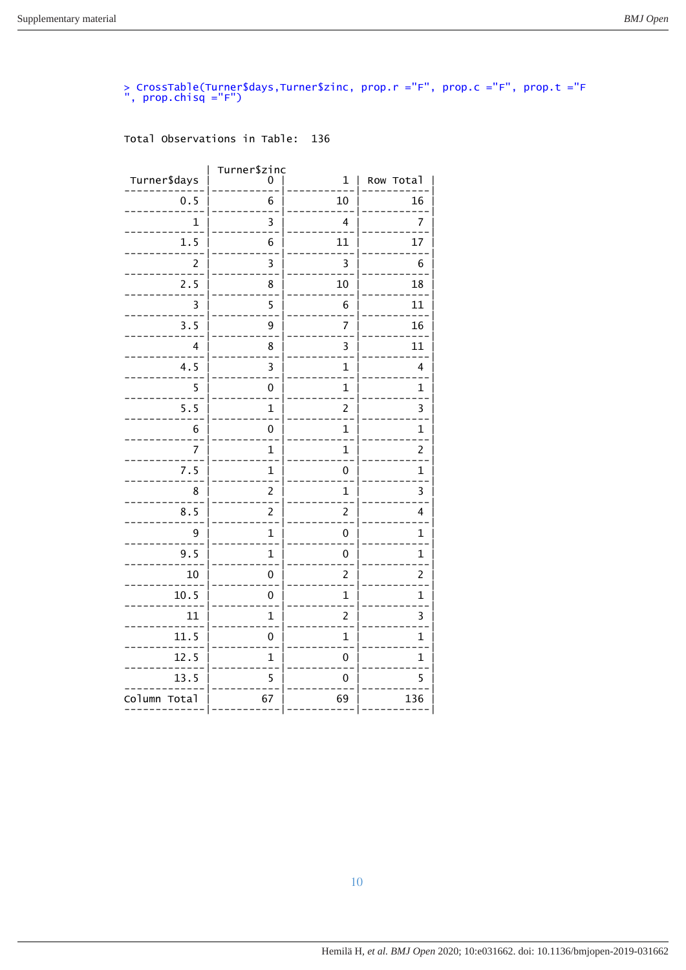# > CrossTable(Turner\$days,Turner\$zinc, prop.r ="F", prop.c ="F", prop.t ="F<br>", prop.chisq ="F")

| Turner\$days    | Turner\$zinc<br>0 | 1                       | Row Total               |
|-----------------|-------------------|-------------------------|-------------------------|
| 0.5             | 6                 | 10                      | 16                      |
| 1               | 3                 | 4                       | 7                       |
| 1.5             | 6                 | 11                      | 17                      |
| $\overline{c}$  | 3                 | $\overline{\mathbf{3}}$ | 6                       |
| 2.5             | 8                 | 10                      | 18                      |
| 3               | 5                 | 6                       | 11                      |
| 3.5             | 9                 | 7                       | 16                      |
| 4               | 8                 | 3                       | 11                      |
| 4.5             | 3                 | $\mathbf{1}$            | 4                       |
| 5               | 0                 | $\overline{1}$          | $\overline{1}$          |
| 5.5             | $\overline{1}$    | $\overline{c}$          | 3                       |
| 6               | 0                 | 1                       | 1                       |
| 7               | $\mathbf{1}$      | $\mathbf{1}$            | $\overline{\mathbf{c}}$ |
| 7.5             | $\overline{1}$    | $\mathbf 0$             | $\overline{1}$          |
| 8               | $\overline{c}$    | $\overline{1}$          | 3                       |
| 8.5             | $\overline{2}$    | $\overline{c}$          | 4                       |
| 9               | $\mathbf{1}$      | 0                       | $\mathbf{1}$            |
| 9.5             | $\mathbf{1}$      | 0                       | $\overline{1}$          |
| 10              | 0                 | $\overline{c}$          | $\overline{\mathbf{c}}$ |
| 10.5            | 0                 | 1                       | 1                       |
| 11              | $\overline{1}$    | $\overline{c}$          | 3                       |
| 11.5            | 0                 | $\mathbf{1}$            | $\mathbf{1}$            |
| 12.5            | $\overline{1}$    | 0                       | $\overline{1}$          |
| 13.5            | 5                 | $\overline{0}$          | 5                       |
| Column<br>Total | 67                | 69                      | 136                     |
|                 |                   |                         |                         |

## Total Observations in Table: 136